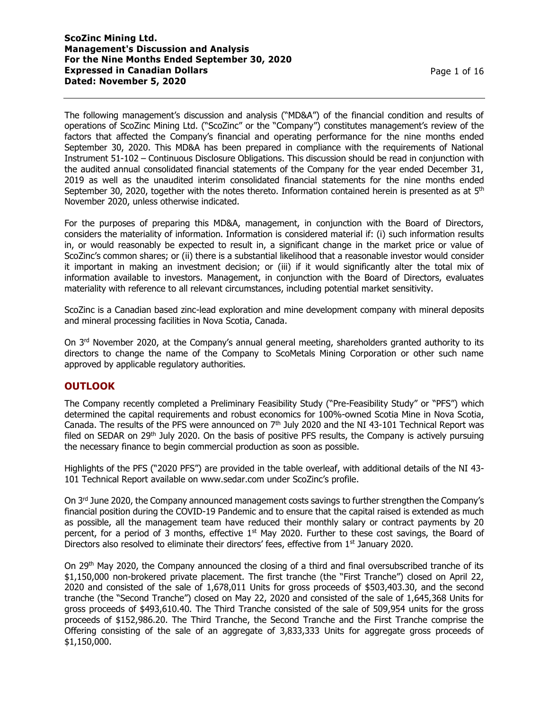The following management's discussion and analysis ("MD&A") of the financial condition and results of operations of ScoZinc Mining Ltd. ("ScoZinc" or the "Company") constitutes management's review of the factors that affected the Company's financial and operating performance for the nine months ended September 30, 2020. This MD&A has been prepared in compliance with the requirements of National Instrument 51-102 – Continuous Disclosure Obligations. This discussion should be read in conjunction with the audited annual consolidated financial statements of the Company for the year ended December 31, 2019 as well as the unaudited interim consolidated financial statements for the nine months ended September 30, 2020, together with the notes thereto. Information contained herein is presented as at  $5<sup>th</sup>$ November 2020, unless otherwise indicated.

For the purposes of preparing this MD&A, management, in conjunction with the Board of Directors, considers the materiality of information. Information is considered material if: (i) such information results in, or would reasonably be expected to result in, a significant change in the market price or value of ScoZinc's common shares; or (ii) there is a substantial likelihood that a reasonable investor would consider it important in making an investment decision; or (iii) if it would significantly alter the total mix of information available to investors. Management, in conjunction with the Board of Directors, evaluates materiality with reference to all relevant circumstances, including potential market sensitivity.

ScoZinc is a Canadian based zinc-lead exploration and mine development company with mineral deposits and mineral processing facilities in Nova Scotia, Canada.

On 3<sup>rd</sup> November 2020, at the Company's annual general meeting, shareholders granted authority to its directors to change the name of the Company to ScoMetals Mining Corporation or other such name approved by applicable regulatory authorities.

## **OUTLOOK**

The Company recently completed a Preliminary Feasibility Study ("Pre-Feasibility Study" or "PFS") which determined the capital requirements and robust economics for 100%-owned Scotia Mine in Nova Scotia, Canada. The results of the PFS were announced on 7<sup>th</sup> July 2020 and the NI 43-101 Technical Report was filed on SEDAR on  $29<sup>th</sup>$  July 2020. On the basis of positive PFS results, the Company is actively pursuing the necessary finance to begin commercial production as soon as possible.

Highlights of the PFS ("2020 PFS") are provided in the table overleaf, with additional details of the NI 43- 101 Technical Report available on www.sedar.com under ScoZinc's profile.

On 3<sup>rd</sup> June 2020, the Company announced management costs savings to further strengthen the Company's financial position during the COVID-19 Pandemic and to ensure that the capital raised is extended as much as possible, all the management team have reduced their monthly salary or contract payments by 20 percent, for a period of 3 months, effective  $1<sup>st</sup>$  May 2020. Further to these cost savings, the Board of Directors also resolved to eliminate their directors' fees, effective from 1<sup>st</sup> January 2020.

On 29th May 2020, the Company announced the closing of a third and final oversubscribed tranche of its \$1,150,000 non-brokered private placement. The first tranche (the "First Tranche") closed on April 22, 2020 and consisted of the sale of 1,678,011 Units for gross proceeds of \$503,403.30, and the second tranche (the "Second Tranche") closed on May 22, 2020 and consisted of the sale of 1,645,368 Units for gross proceeds of \$493,610.40. The Third Tranche consisted of the sale of 509,954 units for the gross proceeds of \$152,986.20. The Third Tranche, the Second Tranche and the First Tranche comprise the Offering consisting of the sale of an aggregate of 3,833,333 Units for aggregate gross proceeds of \$1,150,000.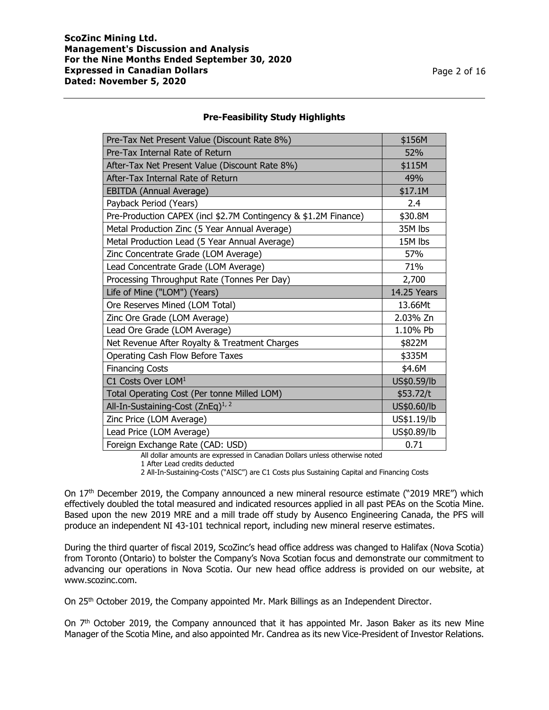### **Pre-Feasibility Study Highlights**

| Pre-Tax Net Present Value (Discount Rate 8%)                    | \$156M      |
|-----------------------------------------------------------------|-------------|
| Pre-Tax Internal Rate of Return                                 | 52%         |
| After-Tax Net Present Value (Discount Rate 8%)                  | \$115M      |
| After-Tax Internal Rate of Return                               | 49%         |
| EBITDA (Annual Average)                                         | \$17.1M     |
| Payback Period (Years)                                          | 2.4         |
| Pre-Production CAPEX (incl \$2.7M Contingency & \$1.2M Finance) | \$30.8M     |
| Metal Production Zinc (5 Year Annual Average)                   | 35M lbs     |
| Metal Production Lead (5 Year Annual Average)                   | 15M lbs     |
| Zinc Concentrate Grade (LOM Average)                            | 57%         |
| Lead Concentrate Grade (LOM Average)                            | 71%         |
| Processing Throughput Rate (Tonnes Per Day)                     | 2,700       |
|                                                                 |             |
| Life of Mine ("LOM") (Years)                                    | 14.25 Years |
| Ore Reserves Mined (LOM Total)                                  | 13.66Mt     |
| Zinc Ore Grade (LOM Average)                                    | 2.03% Zn    |
| Lead Ore Grade (LOM Average)                                    | 1.10% Pb    |
| Net Revenue After Royalty & Treatment Charges                   | \$822M      |
| Operating Cash Flow Before Taxes                                | \$335M      |
| <b>Financing Costs</b>                                          | \$4.6M      |
| C1 Costs Over LOM <sup>1</sup>                                  | US\$0.59/lb |
| Total Operating Cost (Per tonne Milled LOM)                     | \$53.72/t   |
| All-In-Sustaining-Cost (ZnEq) <sup>1, 2</sup>                   | US\$0.60/lb |
| Zinc Price (LOM Average)                                        | US\$1.19/lb |
| Lead Price (LOM Average)                                        | US\$0.89/lb |

All dollar amounts are expressed in Canadian Dollars unless otherwise noted

2 All-In-Sustaining-Costs ("AISC") are C1 Costs plus Sustaining Capital and Financing Costs

On 17<sup>th</sup> December 2019, the Company announced a new mineral resource estimate ("2019 MRE") which effectively doubled the total measured and indicated resources applied in all past PEAs on the Scotia Mine. Based upon the new 2019 MRE and a mill trade off study by Ausenco Engineering Canada, the PFS will produce an independent NI 43-101 technical report, including new mineral reserve estimates.

During the third quarter of fiscal 2019, ScoZinc's head office address was changed to Halifax (Nova Scotia) from Toronto (Ontario) to bolster the Company's Nova Scotian focus and demonstrate our commitment to advancing our operations in Nova Scotia. Our new head office address is provided on our website, at www.scozinc.com.

On 25<sup>th</sup> October 2019, the Company appointed Mr. Mark Billings as an Independent Director.

On 7<sup>th</sup> October 2019, the Company announced that it has appointed Mr. Jason Baker as its new Mine Manager of the Scotia Mine, and also appointed Mr. Candrea as its new Vice-President of Investor Relations.

<sup>1</sup> After Lead credits deducted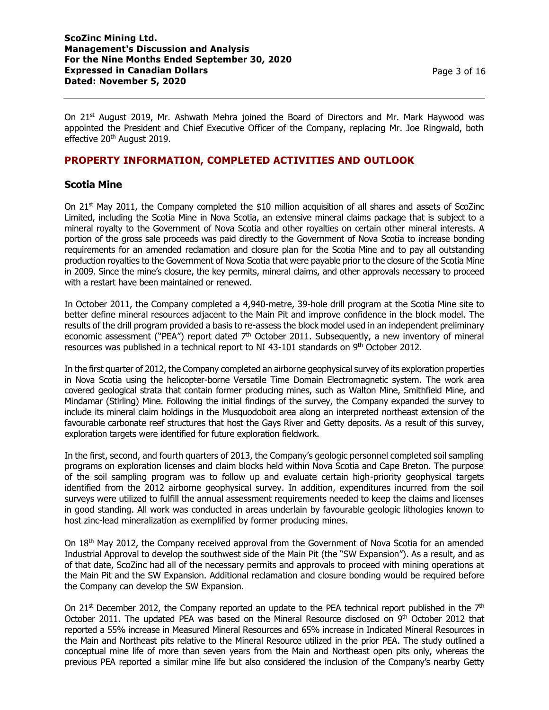On  $21^{st}$  August 2019, Mr. Ashwath Mehra joined the Board of Directors and Mr. Mark Haywood was appointed the President and Chief Executive Officer of the Company, replacing Mr. Joe Ringwald, both effective 20<sup>th</sup> August 2019.

## **PROPERTY INFORMATION, COMPLETED ACTIVITIES AND OUTLOOK**

### **Scotia Mine**

On  $21^{st}$  May 2011, the Company completed the \$10 million acquisition of all shares and assets of ScoZinc Limited, including the Scotia Mine in Nova Scotia, an extensive mineral claims package that is subject to a mineral royalty to the Government of Nova Scotia and other royalties on certain other mineral interests. A portion of the gross sale proceeds was paid directly to the Government of Nova Scotia to increase bonding requirements for an amended reclamation and closure plan for the Scotia Mine and to pay all outstanding production royalties to the Government of Nova Scotia that were payable prior to the closure of the Scotia Mine in 2009. Since the mine's closure, the key permits, mineral claims, and other approvals necessary to proceed with a restart have been maintained or renewed.

In October 2011, the Company completed a 4,940-metre, 39-hole drill program at the Scotia Mine site to better define mineral resources adjacent to the Main Pit and improve confidence in the block model. The results of the drill program provided a basis to re-assess the block model used in an independent preliminary economic assessment ("PEA") report dated 7<sup>th</sup> October 2011. Subsequently, a new inventory of mineral resources was published in a technical report to NI 43-101 standards on 9<sup>th</sup> October 2012.

In the first quarter of 2012, the Company completed an airborne geophysical survey of its exploration properties in Nova Scotia using the helicopter-borne Versatile Time Domain Electromagnetic system. The work area covered geological strata that contain former producing mines, such as Walton Mine, Smithfield Mine, and Mindamar (Stirling) Mine. Following the initial findings of the survey, the Company expanded the survey to include its mineral claim holdings in the Musquodoboit area along an interpreted northeast extension of the favourable carbonate reef structures that host the Gays River and Getty deposits. As a result of this survey, exploration targets were identified for future exploration fieldwork.

In the first, second, and fourth quarters of 2013, the Company's geologic personnel completed soil sampling programs on exploration licenses and claim blocks held within Nova Scotia and Cape Breton. The purpose of the soil sampling program was to follow up and evaluate certain high-priority geophysical targets identified from the 2012 airborne geophysical survey. In addition, expenditures incurred from the soil surveys were utilized to fulfill the annual assessment requirements needed to keep the claims and licenses in good standing. All work was conducted in areas underlain by favourable geologic lithologies known to host zinc-lead mineralization as exemplified by former producing mines.

On 18<sup>th</sup> May 2012, the Company received approval from the Government of Nova Scotia for an amended Industrial Approval to develop the southwest side of the Main Pit (the "SW Expansion"). As a result, and as of that date, ScoZinc had all of the necessary permits and approvals to proceed with mining operations at the Main Pit and the SW Expansion. Additional reclamation and closure bonding would be required before the Company can develop the SW Expansion.

On 21<sup>st</sup> December 2012, the Company reported an update to the PEA technical report published in the 7<sup>th</sup> October 2011. The updated PEA was based on the Mineral Resource disclosed on 9<sup>th</sup> October 2012 that reported a 55% increase in Measured Mineral Resources and 65% increase in Indicated Mineral Resources in the Main and Northeast pits relative to the Mineral Resource utilized in the prior PEA. The study outlined a conceptual mine life of more than seven years from the Main and Northeast open pits only, whereas the previous PEA reported a similar mine life but also considered the inclusion of the Company's nearby Getty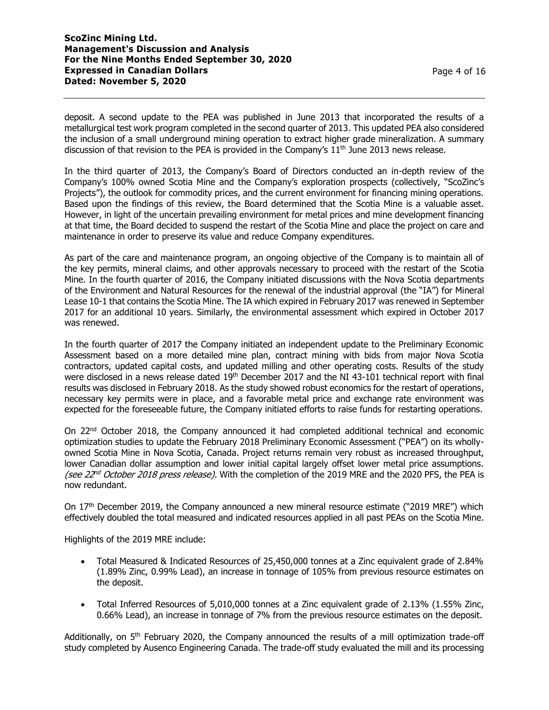deposit. A second update to the PEA was published in June 2013 that incorporated the results of a metallurgical test work program completed in the second quarter of 2013. This updated PEA also considered the inclusion of a small underground mining operation to extract higher grade mineralization. A summary discussion of that revision to the PEA is provided in the Company's  $11<sup>th</sup>$  June 2013 news release.

In the third quarter of 2013, the Company's Board of Directors conducted an in-depth review of the Company's 100% owned Scotia Mine and the Company's exploration prospects (collectively, "ScoZinc's Projects"), the outlook for commodity prices, and the current environment for financing mining operations. Based upon the findings of this review, the Board determined that the Scotia Mine is a valuable asset. However, in light of the uncertain prevailing environment for metal prices and mine development financing at that time, the Board decided to suspend the restart of the Scotia Mine and place the project on care and maintenance in order to preserve its value and reduce Company expenditures.

As part of the care and maintenance program, an ongoing objective of the Company is to maintain all of the key permits, mineral claims, and other approvals necessary to proceed with the restart of the Scotia Mine. In the fourth quarter of 2016, the Company initiated discussions with the Nova Scotia departments of the Environment and Natural Resources for the renewal of the industrial approval (the "IA") for Mineral Lease 10-1 that contains the Scotia Mine. The IA which expired in February 2017 was renewed in September 2017 for an additional 10 years. Similarly, the environmental assessment which expired in October 2017 was renewed.

In the fourth quarter of 2017 the Company initiated an independent update to the Preliminary Economic Assessment based on a more detailed mine plan, contract mining with bids from major Nova Scotia contractors, updated capital costs, and updated milling and other operating costs. Results of the study were disclosed in a news release dated 19<sup>th</sup> December 2017 and the NI 43-101 technical report with final results was disclosed in February 2018. As the study showed robust economics for the restart of operations, necessary key permits were in place, and a favorable metal price and exchange rate environment was expected for the foreseeable future, the Company initiated efforts to raise funds for restarting operations.

On 22nd October 2018, the Company announced it had completed additional technical and economic optimization studies to update the February 2018 Preliminary Economic Assessment ("PEA") on its whollyowned Scotia Mine in Nova Scotia, Canada. Project returns remain very robust as increased throughput, lower Canadian dollar assumption and lower initial capital largely offset lower metal price assumptions. (see 22<sup>nd</sup> October 2018 press release). With the completion of the 2019 MRE and the 2020 PFS, the PEA is now redundant.

On 17<sup>th</sup> December 2019, the Company announced a new mineral resource estimate ("2019 MRE") which effectively doubled the total measured and indicated resources applied in all past PEAs on the Scotia Mine.

Highlights of the 2019 MRE include:

- Total Measured & Indicated Resources of 25,450,000 tonnes at a Zinc equivalent grade of 2.84% (1.89% Zinc, 0.99% Lead), an increase in tonnage of 105% from previous resource estimates on the deposit.
- Total Inferred Resources of 5,010,000 tonnes at a Zinc equivalent grade of 2.13% (1.55% Zinc, 0.66% Lead), an increase in tonnage of 7% from the previous resource estimates on the deposit.

Additionally, on  $5<sup>th</sup>$  February 2020, the Company announced the results of a mill optimization trade-off study completed by Ausenco Engineering Canada. The trade-off study evaluated the mill and its processing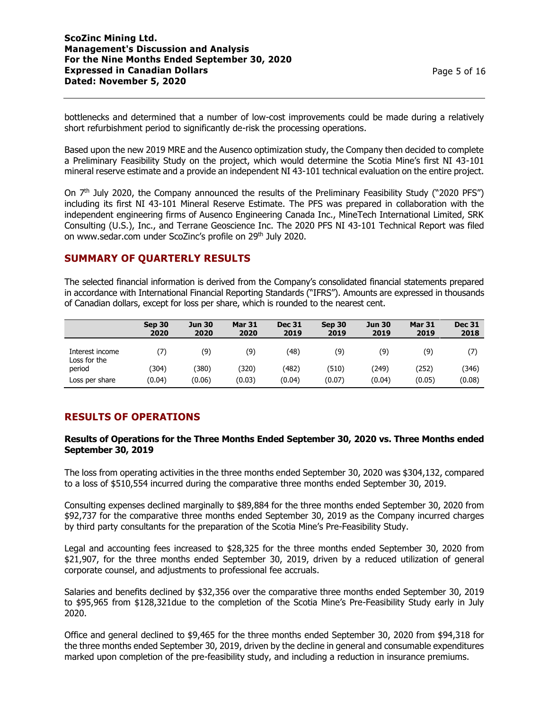bottlenecks and determined that a number of low-cost improvements could be made during a relatively short refurbishment period to significantly de-risk the processing operations.

Based upon the new 2019 MRE and the Ausenco optimization study, the Company then decided to complete a Preliminary Feasibility Study on the project, which would determine the Scotia Mine's first NI 43-101 mineral reserve estimate and a provide an independent NI 43-101 technical evaluation on the entire project.

On 7<sup>th</sup> July 2020, the Company announced the results of the Preliminary Feasibility Study ("2020 PFS") including its first NI 43-101 Mineral Reserve Estimate. The PFS was prepared in collaboration with the independent engineering firms of Ausenco Engineering Canada Inc., MineTech International Limited, SRK Consulting (U.S.), Inc., and Terrane Geoscience Inc. The 2020 PFS NI 43-101 Technical Report was filed on www.sedar.com under ScoZinc's profile on 29<sup>th</sup> July 2020.

## **SUMMARY OF QUARTERLY RESULTS**

The selected financial information is derived from the Company's consolidated financial statements prepared in accordance with International Financial Reporting Standards ("IFRS"). Amounts are expressed in thousands of Canadian dollars, except for loss per share, which is rounded to the nearest cent.

|                                 | Sep 30<br>2020 | <b>Jun 30</b><br>2020 | <b>Mar 31</b><br>2020 | <b>Dec 31</b><br>2019 | Sep 30<br>2019 | <b>Jun 30</b><br>2019 | <b>Mar 31</b><br>2019 | <b>Dec 31</b><br>2018 |
|---------------------------------|----------------|-----------------------|-----------------------|-----------------------|----------------|-----------------------|-----------------------|-----------------------|
| Interest income<br>Loss for the | (7)            | (9)                   | (9)                   | (48)                  | (9)            | (9)                   | (9)                   |                       |
| period                          | (304)          | (380)                 | (320)                 | (482)                 | (510)          | (249)                 | (252)                 | (346)                 |
| Loss per share                  | (0.04)         | (0.06)                | (0.03)                | (0.04)                | (0.07)         | (0.04)                | (0.05)                | (0.08)                |

# **RESULTS OF OPERATIONS**

### **Results of Operations for the Three Months Ended September 30, 2020 vs. Three Months ended September 30, 2019**

The loss from operating activities in the three months ended September 30, 2020 was \$304,132, compared to a loss of \$510,554 incurred during the comparative three months ended September 30, 2019.

Consulting expenses declined marginally to \$89,884 for the three months ended September 30, 2020 from \$92,737 for the comparative three months ended September 30, 2019 as the Company incurred charges by third party consultants for the preparation of the Scotia Mine's Pre-Feasibility Study.

Legal and accounting fees increased to \$28,325 for the three months ended September 30, 2020 from \$21,907, for the three months ended September 30, 2019, driven by a reduced utilization of general corporate counsel, and adjustments to professional fee accruals.

Salaries and benefits declined by \$32,356 over the comparative three months ended September 30, 2019 to \$95,965 from \$128,321due to the completion of the Scotia Mine's Pre-Feasibility Study early in July 2020.

Office and general declined to \$9,465 for the three months ended September 30, 2020 from \$94,318 for the three months ended September 30, 2019, driven by the decline in general and consumable expenditures marked upon completion of the pre-feasibility study, and including a reduction in insurance premiums.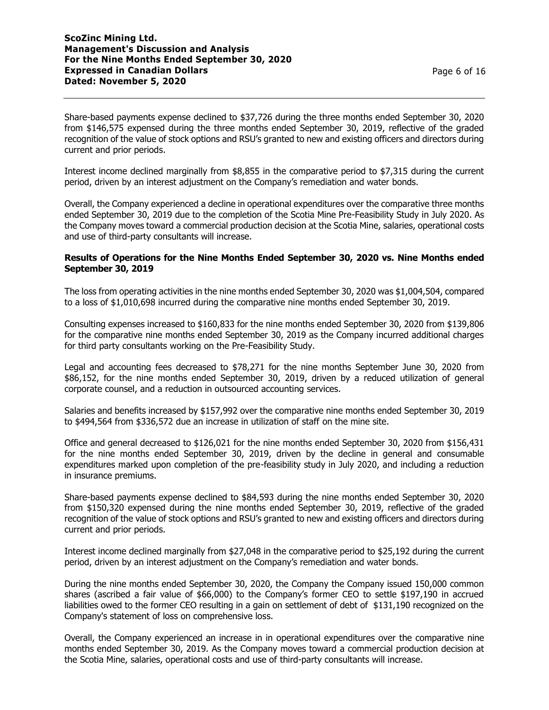Share-based payments expense declined to \$37,726 during the three months ended September 30, 2020 from \$146,575 expensed during the three months ended September 30, 2019, reflective of the graded recognition of the value of stock options and RSU's granted to new and existing officers and directors during current and prior periods.

Interest income declined marginally from \$8,855 in the comparative period to \$7,315 during the current period, driven by an interest adjustment on the Company's remediation and water bonds.

Overall, the Company experienced a decline in operational expenditures over the comparative three months ended September 30, 2019 due to the completion of the Scotia Mine Pre-Feasibility Study in July 2020. As the Company moves toward a commercial production decision at the Scotia Mine, salaries, operational costs and use of third-party consultants will increase.

### **Results of Operations for the Nine Months Ended September 30, 2020 vs. Nine Months ended September 30, 2019**

The loss from operating activities in the nine months ended September 30, 2020 was \$1,004,504, compared to a loss of \$1,010,698 incurred during the comparative nine months ended September 30, 2019.

Consulting expenses increased to \$160,833 for the nine months ended September 30, 2020 from \$139,806 for the comparative nine months ended September 30, 2019 as the Company incurred additional charges for third party consultants working on the Pre-Feasibility Study.

Legal and accounting fees decreased to \$78,271 for the nine months September June 30, 2020 from \$86,152, for the nine months ended September 30, 2019, driven by a reduced utilization of general corporate counsel, and a reduction in outsourced accounting services.

Salaries and benefits increased by \$157,992 over the comparative nine months ended September 30, 2019 to \$494,564 from \$336,572 due an increase in utilization of staff on the mine site.

Office and general decreased to \$126,021 for the nine months ended September 30, 2020 from \$156,431 for the nine months ended September 30, 2019, driven by the decline in general and consumable expenditures marked upon completion of the pre-feasibility study in July 2020, and including a reduction in insurance premiums.

Share-based payments expense declined to \$84,593 during the nine months ended September 30, 2020 from \$150,320 expensed during the nine months ended September 30, 2019, reflective of the graded recognition of the value of stock options and RSU's granted to new and existing officers and directors during current and prior periods.

Interest income declined marginally from \$27,048 in the comparative period to \$25,192 during the current period, driven by an interest adjustment on the Company's remediation and water bonds.

During the nine months ended September 30, 2020, the Company the Company issued 150,000 common shares (ascribed a fair value of \$66,000) to the Company's former CEO to settle \$197,190 in accrued liabilities owed to the former CEO resulting in a gain on settlement of debt of \$131,190 recognized on the Company's statement of loss on comprehensive loss.

Overall, the Company experienced an increase in in operational expenditures over the comparative nine months ended September 30, 2019. As the Company moves toward a commercial production decision at the Scotia Mine, salaries, operational costs and use of third-party consultants will increase.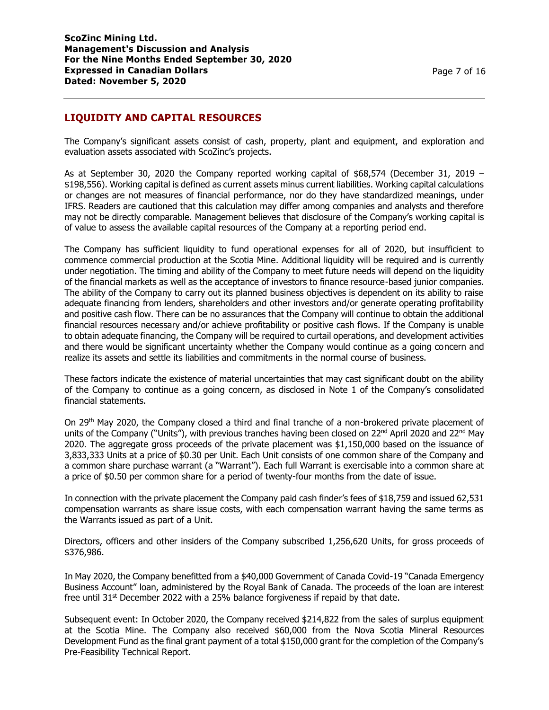## **LIQUIDITY AND CAPITAL RESOURCES**

The Company's significant assets consist of cash, property, plant and equipment, and exploration and evaluation assets associated with ScoZinc's projects.

As at September 30, 2020 the Company reported working capital of  $$68,574$  (December 31, 2019 – \$198,556). Working capital is defined as current assets minus current liabilities. Working capital calculations or changes are not measures of financial performance, nor do they have standardized meanings, under IFRS. Readers are cautioned that this calculation may differ among companies and analysts and therefore may not be directly comparable. Management believes that disclosure of the Company's working capital is of value to assess the available capital resources of the Company at a reporting period end.

The Company has sufficient liquidity to fund operational expenses for all of 2020, but insufficient to commence commercial production at the Scotia Mine. Additional liquidity will be required and is currently under negotiation. The timing and ability of the Company to meet future needs will depend on the liquidity of the financial markets as well as the acceptance of investors to finance resource-based junior companies. The ability of the Company to carry out its planned business objectives is dependent on its ability to raise adequate financing from lenders, shareholders and other investors and/or generate operating profitability and positive cash flow. There can be no assurances that the Company will continue to obtain the additional financial resources necessary and/or achieve profitability or positive cash flows. If the Company is unable to obtain adequate financing, the Company will be required to curtail operations, and development activities and there would be significant uncertainty whether the Company would continue as a going concern and realize its assets and settle its liabilities and commitments in the normal course of business.

These factors indicate the existence of material uncertainties that may cast significant doubt on the ability of the Company to continue as a going concern, as disclosed in Note 1 of the Company's consolidated financial statements.

On 29th May 2020, the Company closed a third and final tranche of a non-brokered private placement of units of the Company ("Units"), with previous tranches having been closed on  $22^{nd}$  April 2020 and  $22^{nd}$  May 2020. The aggregate gross proceeds of the private placement was \$1,150,000 based on the issuance of 3,833,333 Units at a price of \$0.30 per Unit. Each Unit consists of one common share of the Company and a common share purchase warrant (a "Warrant"). Each full Warrant is exercisable into a common share at a price of \$0.50 per common share for a period of twenty-four months from the date of issue.

In connection with the private placement the Company paid cash finder's fees of \$18,759 and issued 62,531 compensation warrants as share issue costs, with each compensation warrant having the same terms as the Warrants issued as part of a Unit.

Directors, officers and other insiders of the Company subscribed 1,256,620 Units, for gross proceeds of \$376,986.

In May 2020, the Company benefitted from a \$40,000 Government of Canada Covid-19 "Canada Emergency Business Account" loan, administered by the Royal Bank of Canada. The proceeds of the loan are interest free until  $31<sup>st</sup>$  December 2022 with a 25% balance forgiveness if repaid by that date.

Subsequent event: In October 2020, the Company received \$214,822 from the sales of surplus equipment at the Scotia Mine. The Company also received \$60,000 from the Nova Scotia Mineral Resources Development Fund as the final grant payment of a total \$150,000 grant for the completion of the Company's Pre-Feasibility Technical Report.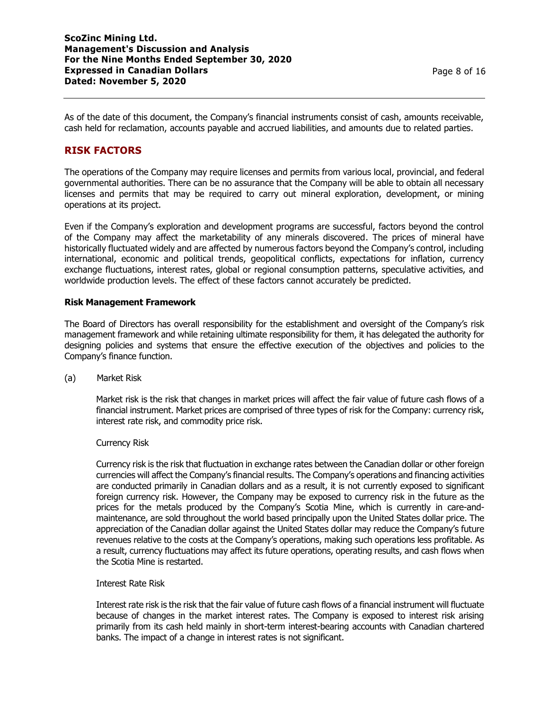As of the date of this document, the Company's financial instruments consist of cash, amounts receivable, cash held for reclamation, accounts payable and accrued liabilities, and amounts due to related parties.

## **RISK FACTORS**

The operations of the Company may require licenses and permits from various local, provincial, and federal governmental authorities. There can be no assurance that the Company will be able to obtain all necessary licenses and permits that may be required to carry out mineral exploration, development, or mining operations at its project.

Even if the Company's exploration and development programs are successful, factors beyond the control of the Company may affect the marketability of any minerals discovered. The prices of mineral have historically fluctuated widely and are affected by numerous factors beyond the Company's control, including international, economic and political trends, geopolitical conflicts, expectations for inflation, currency exchange fluctuations, interest rates, global or regional consumption patterns, speculative activities, and worldwide production levels. The effect of these factors cannot accurately be predicted.

### **Risk Management Framework**

The Board of Directors has overall responsibility for the establishment and oversight of the Company's risk management framework and while retaining ultimate responsibility for them, it has delegated the authority for designing policies and systems that ensure the effective execution of the objectives and policies to the Company's finance function.

(a) Market Risk

Market risk is the risk that changes in market prices will affect the fair value of future cash flows of a financial instrument. Market prices are comprised of three types of risk for the Company: currency risk, interest rate risk, and commodity price risk.

#### Currency Risk

Currency risk is the risk that fluctuation in exchange rates between the Canadian dollar or other foreign currencies will affect the Company's financial results. The Company's operations and financing activities are conducted primarily in Canadian dollars and as a result, it is not currently exposed to significant foreign currency risk. However, the Company may be exposed to currency risk in the future as the prices for the metals produced by the Company's Scotia Mine, which is currently in care-andmaintenance, are sold throughout the world based principally upon the United States dollar price. The appreciation of the Canadian dollar against the United States dollar may reduce the Company's future revenues relative to the costs at the Company's operations, making such operations less profitable. As a result, currency fluctuations may affect its future operations, operating results, and cash flows when the Scotia Mine is restarted.

#### Interest Rate Risk

Interest rate risk is the risk that the fair value of future cash flows of a financial instrument will fluctuate because of changes in the market interest rates. The Company is exposed to interest risk arising primarily from its cash held mainly in short-term interest-bearing accounts with Canadian chartered banks. The impact of a change in interest rates is not significant.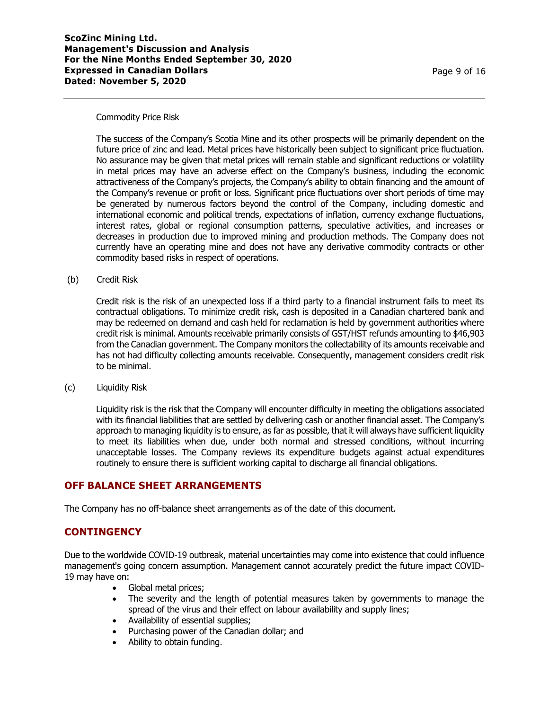#### Commodity Price Risk

The success of the Company's Scotia Mine and its other prospects will be primarily dependent on the future price of zinc and lead. Metal prices have historically been subject to significant price fluctuation. No assurance may be given that metal prices will remain stable and significant reductions or volatility in metal prices may have an adverse effect on the Company's business, including the economic attractiveness of the Company's projects, the Company's ability to obtain financing and the amount of the Company's revenue or profit or loss. Significant price fluctuations over short periods of time may be generated by numerous factors beyond the control of the Company, including domestic and international economic and political trends, expectations of inflation, currency exchange fluctuations, interest rates, global or regional consumption patterns, speculative activities, and increases or decreases in production due to improved mining and production methods. The Company does not currently have an operating mine and does not have any derivative commodity contracts or other commodity based risks in respect of operations.

(b) Credit Risk

Credit risk is the risk of an unexpected loss if a third party to a financial instrument fails to meet its contractual obligations. To minimize credit risk, cash is deposited in a Canadian chartered bank and may be redeemed on demand and cash held for reclamation is held by government authorities where credit risk is minimal. Amounts receivable primarily consists of GST/HST refunds amounting to \$46,903 from the Canadian government. The Company monitors the collectability of its amounts receivable and has not had difficulty collecting amounts receivable. Consequently, management considers credit risk to be minimal.

(c) Liquidity Risk

Liquidity risk is the risk that the Company will encounter difficulty in meeting the obligations associated with its financial liabilities that are settled by delivering cash or another financial asset. The Company's approach to managing liquidity is to ensure, as far as possible, that it will always have sufficient liquidity to meet its liabilities when due, under both normal and stressed conditions, without incurring unacceptable losses. The Company reviews its expenditure budgets against actual expenditures routinely to ensure there is sufficient working capital to discharge all financial obligations.

## **OFF BALANCE SHEET ARRANGEMENTS**

The Company has no off-balance sheet arrangements as of the date of this document.

## **CONTINGENCY**

Due to the worldwide COVID-19 outbreak, material uncertainties may come into existence that could influence management's going concern assumption. Management cannot accurately predict the future impact COVID-19 may have on:

- Global metal prices;
- The severity and the length of potential measures taken by governments to manage the spread of the virus and their effect on labour availability and supply lines;
- Availability of essential supplies;
- Purchasing power of the Canadian dollar; and
- Ability to obtain funding.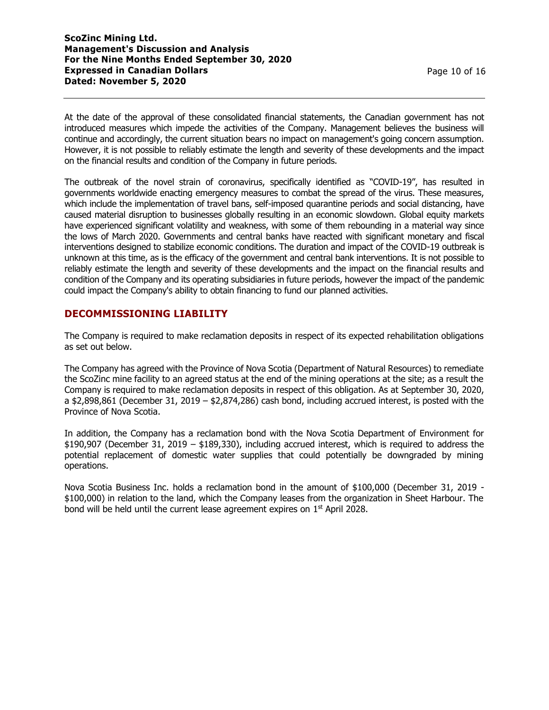At the date of the approval of these consolidated financial statements, the Canadian government has not introduced measures which impede the activities of the Company. Management believes the business will continue and accordingly, the current situation bears no impact on management's going concern assumption. However, it is not possible to reliably estimate the length and severity of these developments and the impact on the financial results and condition of the Company in future periods.

The outbreak of the novel strain of coronavirus, specifically identified as "COVID-19", has resulted in governments worldwide enacting emergency measures to combat the spread of the virus. These measures, which include the implementation of travel bans, self-imposed quarantine periods and social distancing, have caused material disruption to businesses globally resulting in an economic slowdown. Global equity markets have experienced significant volatility and weakness, with some of them rebounding in a material way since the lows of March 2020. Governments and central banks have reacted with significant monetary and fiscal interventions designed to stabilize economic conditions. The duration and impact of the COVID-19 outbreak is unknown at this time, as is the efficacy of the government and central bank interventions. It is not possible to reliably estimate the length and severity of these developments and the impact on the financial results and condition of the Company and its operating subsidiaries in future periods, however the impact of the pandemic could impact the Company's ability to obtain financing to fund our planned activities.

## **DECOMMISSIONING LIABILITY**

The Company is required to make reclamation deposits in respect of its expected rehabilitation obligations as set out below.

The Company has agreed with the Province of Nova Scotia (Department of Natural Resources) to remediate the ScoZinc mine facility to an agreed status at the end of the mining operations at the site; as a result the Company is required to make reclamation deposits in respect of this obligation. As at September 30, 2020, a \$2,898,861 (December 31, 2019 – \$2,874,286) cash bond, including accrued interest, is posted with the Province of Nova Scotia.

In addition, the Company has a reclamation bond with the Nova Scotia Department of Environment for \$190,907 (December 31, 2019 – \$189,330), including accrued interest, which is required to address the potential replacement of domestic water supplies that could potentially be downgraded by mining operations.

Nova Scotia Business Inc. holds a reclamation bond in the amount of \$100,000 (December 31, 2019 - \$100,000) in relation to the land, which the Company leases from the organization in Sheet Harbour. The bond will be held until the current lease agreement expires on 1<sup>st</sup> April 2028.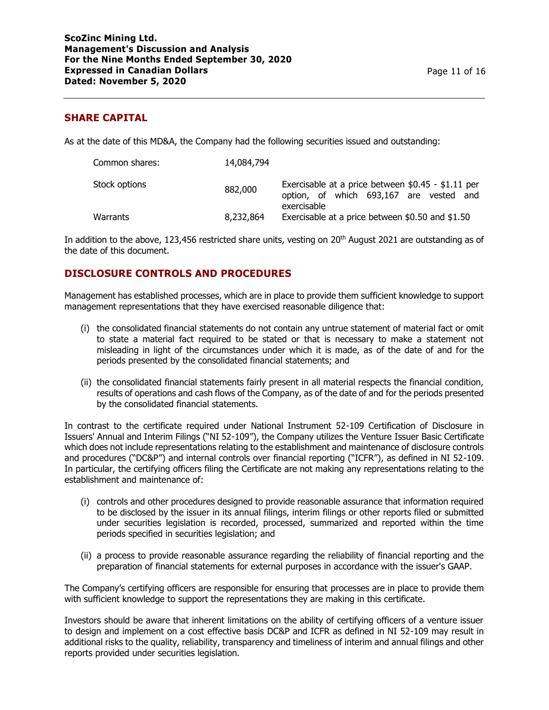## **SHARE CAPITAL**

As at the date of this MD&A, the Company had the following securities issued and outstanding:

| Common shares: | 14,084,794 |                                                                                                              |
|----------------|------------|--------------------------------------------------------------------------------------------------------------|
| Stock options  | 882,000    | Exercisable at a price between \$0.45 - \$1.11 per<br>option, of which 693,167 are vested and<br>exercisable |
| Warrants       | 8,232,864  | Exercisable at a price between \$0.50 and \$1.50                                                             |

In addition to the above, 123,456 restricted share units, vesting on 20th August 2021 are outstanding as of the date of this document.

## **DISCLOSURE CONTROLS AND PROCEDURES**

Management has established processes, which are in place to provide them sufficient knowledge to support management representations that they have exercised reasonable diligence that:

- (i) the consolidated financial statements do not contain any untrue statement of material fact or omit to state a material fact required to be stated or that is necessary to make a statement not misleading in light of the circumstances under which it is made, as of the date of and for the periods presented by the consolidated financial statements; and
- (ii) the consolidated financial statements fairly present in all material respects the financial condition, results of operations and cash flows of the Company, as of the date of and for the periods presented by the consolidated financial statements.

In contrast to the certificate required under National Instrument 52-109 Certification of Disclosure in Issuers' Annual and Interim Filings ("NI 52-109"), the Company utilizes the Venture Issuer Basic Certificate which does not include representations relating to the establishment and maintenance of disclosure controls and procedures ("DC&P") and internal controls over financial reporting ("ICFR"), as defined in NI 52-109. In particular, the certifying officers filing the Certificate are not making any representations relating to the establishment and maintenance of:

- (i) controls and other procedures designed to provide reasonable assurance that information required to be disclosed by the issuer in its annual filings, interim filings or other reports filed or submitted under securities legislation is recorded, processed, summarized and reported within the time periods specified in securities legislation; and
- (ii) a process to provide reasonable assurance regarding the reliability of financial reporting and the preparation of financial statements for external purposes in accordance with the issuer's GAAP.

The Company's certifying officers are responsible for ensuring that processes are in place to provide them with sufficient knowledge to support the representations they are making in this certificate.

Investors should be aware that inherent limitations on the ability of certifying officers of a venture issuer to design and implement on a cost effective basis DC&P and ICFR as defined in NI 52-109 may result in additional risks to the quality, reliability, transparency and timeliness of interim and annual filings and other reports provided under securities legislation.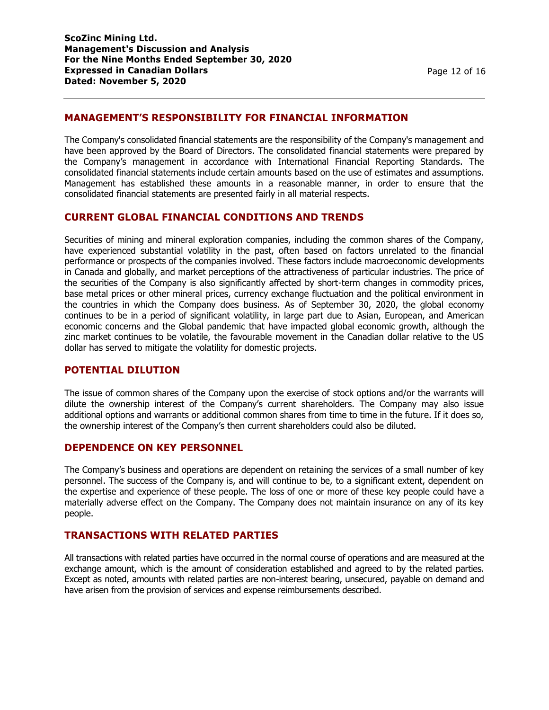## **MANAGEMENT'S RESPONSIBILITY FOR FINANCIAL INFORMATION**

The Company's consolidated financial statements are the responsibility of the Company's management and have been approved by the Board of Directors. The consolidated financial statements were prepared by the Company's management in accordance with International Financial Reporting Standards. The consolidated financial statements include certain amounts based on the use of estimates and assumptions. Management has established these amounts in a reasonable manner, in order to ensure that the consolidated financial statements are presented fairly in all material respects.

### **CURRENT GLOBAL FINANCIAL CONDITIONS AND TRENDS**

Securities of mining and mineral exploration companies, including the common shares of the Company, have experienced substantial volatility in the past, often based on factors unrelated to the financial performance or prospects of the companies involved. These factors include macroeconomic developments in Canada and globally, and market perceptions of the attractiveness of particular industries. The price of the securities of the Company is also significantly affected by short-term changes in commodity prices, base metal prices or other mineral prices, currency exchange fluctuation and the political environment in the countries in which the Company does business. As of September 30, 2020, the global economy continues to be in a period of significant volatility, in large part due to Asian, European, and American economic concerns and the Global pandemic that have impacted global economic growth, although the zinc market continues to be volatile, the favourable movement in the Canadian dollar relative to the US dollar has served to mitigate the volatility for domestic projects.

### **POTENTIAL DILUTION**

The issue of common shares of the Company upon the exercise of stock options and/or the warrants will dilute the ownership interest of the Company's current shareholders. The Company may also issue additional options and warrants or additional common shares from time to time in the future. If it does so, the ownership interest of the Company's then current shareholders could also be diluted.

### **DEPENDENCE ON KEY PERSONNEL**

The Company's business and operations are dependent on retaining the services of a small number of key personnel. The success of the Company is, and will continue to be, to a significant extent, dependent on the expertise and experience of these people. The loss of one or more of these key people could have a materially adverse effect on the Company. The Company does not maintain insurance on any of its key people.

### **TRANSACTIONS WITH RELATED PARTIES**

All transactions with related parties have occurred in the normal course of operations and are measured at the exchange amount, which is the amount of consideration established and agreed to by the related parties. Except as noted, amounts with related parties are non-interest bearing, unsecured, payable on demand and have arisen from the provision of services and expense reimbursements described.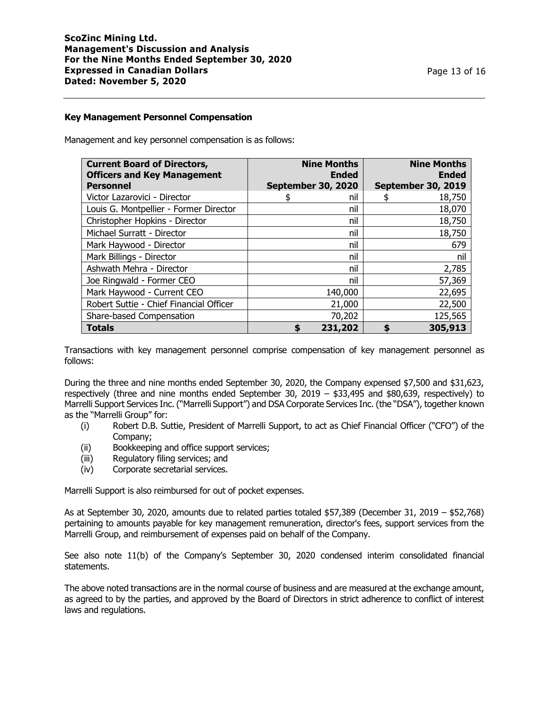#### **Key Management Personnel Compensation**

Management and key personnel compensation is as follows:

| <b>Current Board of Directors,</b><br><b>Officers and Key Management</b> | <b>Nine Months</b><br><b>Ended</b> | <b>Nine Months</b><br><b>Ended</b> |
|--------------------------------------------------------------------------|------------------------------------|------------------------------------|
| <b>Personnel</b>                                                         | September 30, 2020                 | <b>September 30, 2019</b>          |
| Victor Lazarovici - Director                                             | nil                                | 18,750                             |
| Louis G. Montpellier - Former Director                                   | nil                                | 18,070                             |
| Christopher Hopkins - Director                                           | nil                                | 18,750                             |
| Michael Surratt - Director                                               | nil                                | 18,750                             |
| Mark Haywood - Director                                                  | nil                                | 679                                |
| Mark Billings - Director                                                 | nil                                | nil                                |
| Ashwath Mehra - Director                                                 | nil                                | 2,785                              |
| Joe Ringwald - Former CEO                                                | nil                                | 57,369                             |
| Mark Haywood - Current CEO                                               | 140,000                            | 22,695                             |
| Robert Suttie - Chief Financial Officer                                  | 21,000                             | 22,500                             |
| Share-based Compensation                                                 | 70,202                             | 125,565                            |
| <b>Totals</b>                                                            | 231,202                            | 305,913<br>S                       |

Transactions with key management personnel comprise compensation of key management personnel as follows:

During the three and nine months ended September 30, 2020, the Company expensed \$7,500 and \$31,623, respectively (three and nine months ended September 30, 2019 – \$33,495 and \$80,639, respectively) to Marrelli Support Services Inc. ("Marrelli Support") and DSA Corporate Services Inc. (the "DSA"), together known as the "Marrelli Group" for:

- (i) Robert D.B. Suttie, President of Marrelli Support, to act as Chief Financial Officer ("CFO") of the Company;
- (ii) Bookkeeping and office support services;
- (iii) Regulatory filing services; and
- (iv) Corporate secretarial services.

Marrelli Support is also reimbursed for out of pocket expenses.

As at September 30, 2020, amounts due to related parties totaled \$57,389 (December 31, 2019 – \$52,768) pertaining to amounts payable for key management remuneration, director's fees, support services from the Marrelli Group, and reimbursement of expenses paid on behalf of the Company.

See also note 11(b) of the Company's September 30, 2020 condensed interim consolidated financial statements.

The above noted transactions are in the normal course of business and are measured at the exchange amount, as agreed to by the parties, and approved by the Board of Directors in strict adherence to conflict of interest laws and regulations.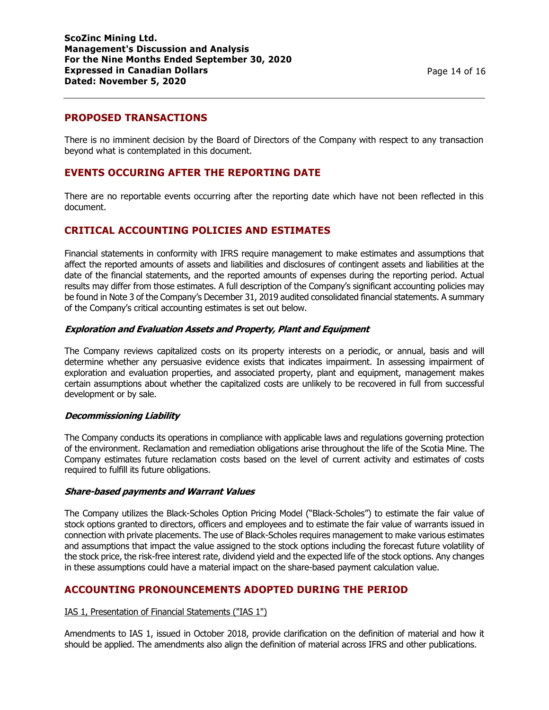## **PROPOSED TRANSACTIONS**

There is no imminent decision by the Board of Directors of the Company with respect to any transaction beyond what is contemplated in this document.

### **EVENTS OCCURING AFTER THE REPORTING DATE**

There are no reportable events occurring after the reporting date which have not been reflected in this document.

### **CRITICAL ACCOUNTING POLICIES AND ESTIMATES**

Financial statements in conformity with IFRS require management to make estimates and assumptions that affect the reported amounts of assets and liabilities and disclosures of contingent assets and liabilities at the date of the financial statements, and the reported amounts of expenses during the reporting period. Actual results may differ from those estimates. A full description of the Company's significant accounting policies may be found in Note 3 of the Company's December 31, 2019 audited consolidated financial statements. A summary of the Company's critical accounting estimates is set out below.

#### **Exploration and Evaluation Assets and Property, Plant and Equipment**

The Company reviews capitalized costs on its property interests on a periodic, or annual, basis and will determine whether any persuasive evidence exists that indicates impairment. In assessing impairment of exploration and evaluation properties, and associated property, plant and equipment, management makes certain assumptions about whether the capitalized costs are unlikely to be recovered in full from successful development or by sale.

#### **Decommissioning Liability**

The Company conducts its operations in compliance with applicable laws and regulations governing protection of the environment. Reclamation and remediation obligations arise throughout the life of the Scotia Mine. The Company estimates future reclamation costs based on the level of current activity and estimates of costs required to fulfill its future obligations.

#### **Share-based payments and Warrant Values**

The Company utilizes the Black-Scholes Option Pricing Model ("Black-Scholes") to estimate the fair value of stock options granted to directors, officers and employees and to estimate the fair value of warrants issued in connection with private placements. The use of Black-Scholes requires management to make various estimates and assumptions that impact the value assigned to the stock options including the forecast future volatility of the stock price, the risk-free interest rate, dividend yield and the expected life of the stock options. Any changes in these assumptions could have a material impact on the share-based payment calculation value.

## **ACCOUNTING PRONOUNCEMENTS ADOPTED DURING THE PERIOD**

#### IAS 1, Presentation of Financial Statements ("IAS 1")

Amendments to IAS 1, issued in October 2018, provide clarification on the definition of material and how it should be applied. The amendments also align the definition of material across IFRS and other publications.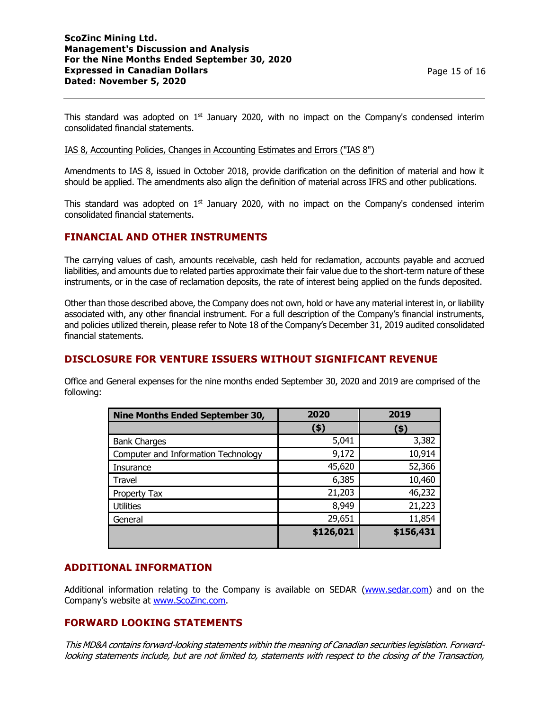### **ScoZinc Mining Ltd. Management's Discussion and Analysis For the Nine Months Ended September 30, 2020 Expressed in Canadian Dollars Dated: November 5, 2020**

This standard was adopted on  $1<sup>st</sup>$  January 2020, with no impact on the Company's condensed interim consolidated financial statements.

#### IAS 8, Accounting Policies, Changes in Accounting Estimates and Errors ("IAS 8")

Amendments to IAS 8, issued in October 2018, provide clarification on the definition of material and how it should be applied. The amendments also align the definition of material across IFRS and other publications.

This standard was adopted on  $1<sup>st</sup>$  January 2020, with no impact on the Company's condensed interim consolidated financial statements.

## **FINANCIAL AND OTHER INSTRUMENTS**

The carrying values of cash, amounts receivable, cash held for reclamation, accounts payable and accrued liabilities, and amounts due to related parties approximate their fair value due to the short-term nature of these instruments, or in the case of reclamation deposits, the rate of interest being applied on the funds deposited.

Other than those described above, the Company does not own, hold or have any material interest in, or liability associated with, any other financial instrument. For a full description of the Company's financial instruments, and policies utilized therein, please refer to Note 18 of the Company's December 31, 2019 audited consolidated financial statements.

# **DISCLOSURE FOR VENTURE ISSUERS WITHOUT SIGNIFICANT REVENUE**

Office and General expenses for the nine months ended September 30, 2020 and 2019 are comprised of the following:

| <b>Nine Months Ended September 30,</b> | 2020      | 2019      |
|----------------------------------------|-----------|-----------|
|                                        | (\$)      | (\$)      |
| <b>Bank Charges</b>                    | 5,041     | 3,382     |
| Computer and Information Technology    | 9,172     | 10,914    |
| Insurance                              | 45,620    | 52,366    |
| Travel                                 | 6,385     | 10,460    |
| Property Tax                           | 21,203    | 46,232    |
| <b>Utilities</b>                       | 8,949     | 21,223    |
| General                                | 29,651    | 11,854    |
|                                        | \$126,021 | \$156,431 |

## **ADDITIONAL INFORMATION**

Additional information relating to the Company is available on SEDAR [\(www.sedar.com\)](http://www.sedar.com/) and on the Company's website at [www.ScoZinc.com.](http://www.scozinc.com/)

## **FORWARD LOOKING STATEMENTS**

This MD&A contains forward-looking statements within the meaning of Canadian securities legislation. Forwardlooking statements include, but are not limited to, statements with respect to the closing of the Transaction,